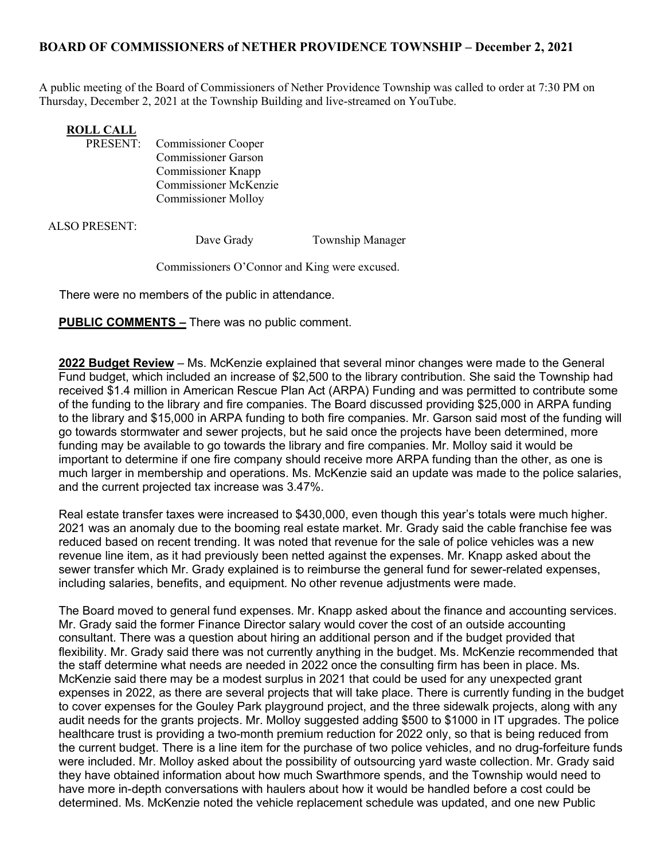## BOARD OF COMMISSIONERS of NETHER PROVIDENCE TOWNSHIP – December 2, 2021

A public meeting of the Board of Commissioners of Nether Providence Township was called to order at 7:30 PM on Thursday, December 2, 2021 at the Township Building and live-streamed on YouTube.

## **ROLL CALL<br>PRESENT:**

Commissioner Cooper Commissioner Garson Commissioner Knapp Commissioner McKenzie Commissioner Molloy

ALSO PRESENT:

Dave Grady Township Manager

Commissioners O'Connor and King were excused.

There were no members of the public in attendance.

**PUBLIC COMMENTS -** There was no public comment.

2022 Budget Review – Ms. McKenzie explained that several minor changes were made to the General Fund budget, which included an increase of \$2,500 to the library contribution. She said the Township had received \$1.4 million in American Rescue Plan Act (ARPA) Funding and was permitted to contribute some of the funding to the library and fire companies. The Board discussed providing \$25,000 in ARPA funding to the library and \$15,000 in ARPA funding to both fire companies. Mr. Garson said most of the funding will go towards stormwater and sewer projects, but he said once the projects have been determined, more funding may be available to go towards the library and fire companies. Mr. Molloy said it would be important to determine if one fire company should receive more ARPA funding than the other, as one is much larger in membership and operations. Ms. McKenzie said an update was made to the police salaries, and the current projected tax increase was 3.47%.

Real estate transfer taxes were increased to \$430,000, even though this year's totals were much higher. 2021 was an anomaly due to the booming real estate market. Mr. Grady said the cable franchise fee was reduced based on recent trending. It was noted that revenue for the sale of police vehicles was a new revenue line item, as it had previously been netted against the expenses. Mr. Knapp asked about the sewer transfer which Mr. Grady explained is to reimburse the general fund for sewer-related expenses, including salaries, benefits, and equipment. No other revenue adjustments were made.

The Board moved to general fund expenses. Mr. Knapp asked about the finance and accounting services. Mr. Grady said the former Finance Director salary would cover the cost of an outside accounting consultant. There was a question about hiring an additional person and if the budget provided that flexibility. Mr. Grady said there was not currently anything in the budget. Ms. McKenzie recommended that the staff determine what needs are needed in 2022 once the consulting firm has been in place. Ms. McKenzie said there may be a modest surplus in 2021 that could be used for any unexpected grant expenses in 2022, as there are several projects that will take place. There is currently funding in the budget to cover expenses for the Gouley Park playground project, and the three sidewalk projects, along with any audit needs for the grants projects. Mr. Molloy suggested adding \$500 to \$1000 in IT upgrades. The police healthcare trust is providing a two-month premium reduction for 2022 only, so that is being reduced from the current budget. There is a line item for the purchase of two police vehicles, and no drug-forfeiture funds were included. Mr. Molloy asked about the possibility of outsourcing yard waste collection. Mr. Grady said they have obtained information about how much Swarthmore spends, and the Township would need to have more in-depth conversations with haulers about how it would be handled before a cost could be determined. Ms. McKenzie noted the vehicle replacement schedule was updated, and one new Public